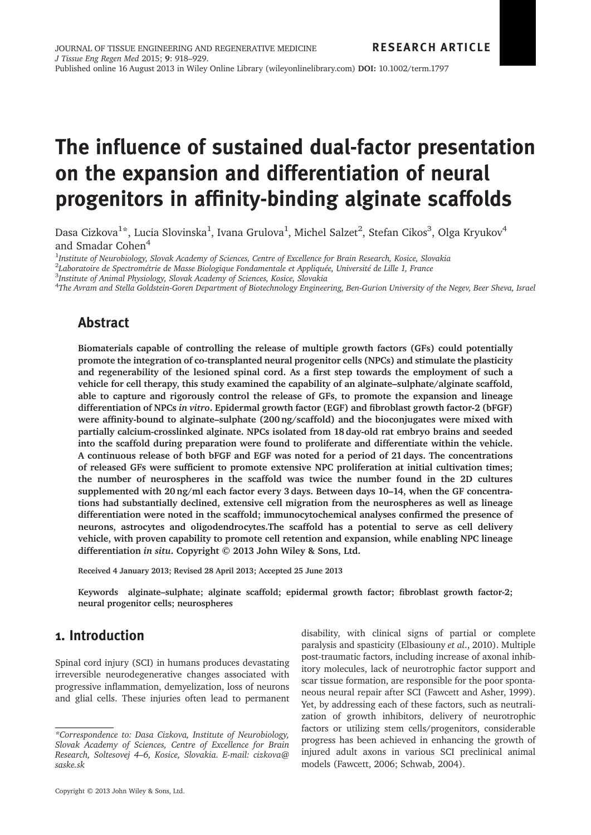# The influence of sustained dual-factor presentation on the expansion and differentiation of neural progenitors in affinity-binding alginate scaffolds

Dasa Cizkova $^{1\star}$ , Lucia Slovinska $^{1}$ , Ivana Grulova $^{1}$ , Michel Salzet $^{2}$ , Stefan Cikos $^{3}$ , Olga Kryukov $^{4}$ and Smadar Cohen<sup>4</sup>

<sup>1</sup>Institute of Neurobiology, Slovak Academy of Sciences, Centre of Excellence for Brain Research, Kosice, Slovakia

2 Laboratoire de Spectrométrie de Masse Biologique Fondamentale et Appliquée, Université de Lille 1, France

3 Institute of Animal Physiology, Slovak Academy of Sciences, Kosice, Slovakia

4 The Avram and Stella Goldstein-Goren Department of Biotechnology Engineering, Ben-Gurion University of the Negev, Beer Sheva, Israel

## Abstract

Biomaterials capable of controlling the release of multiple growth factors (GFs) could potentially promote the integration of co-transplanted neural progenitor cells (NPCs) and stimulate the plasticity and regenerability of the lesioned spinal cord. As a first step towards the employment of such a vehicle for cell therapy, this study examined the capability of an alginate–sulphate/alginate scaffold, able to capture and rigorously control the release of GFs, to promote the expansion and lineage differentiation of NPCs in vitro. Epidermal growth factor (EGF) and fibroblast growth factor-2 (bFGF) were affinity-bound to alginate–sulphate (200 ng/scaffold) and the bioconjugates were mixed with partially calcium-crosslinked alginate. NPCs isolated from 18 day-old rat embryo brains and seeded into the scaffold during preparation were found to proliferate and differentiate within the vehicle. A continuous release of both bFGF and EGF was noted for a period of 21 days. The concentrations of released GFs were sufficient to promote extensive NPC proliferation at initial cultivation times; the number of neurospheres in the scaffold was twice the number found in the 2D cultures supplemented with 20 ng/ml each factor every 3 days. Between days 10–14, when the GF concentrations had substantially declined, extensive cell migration from the neurospheres as well as lineage differentiation were noted in the scaffold; immunocytochemical analyses confirmed the presence of neurons, astrocytes and oligodendrocytes.The scaffold has a potential to serve as cell delivery vehicle, with proven capability to promote cell retention and expansion, while enabling NPC lineage differentiation in situ. Copyright © 2013 John Wiley & Sons, Ltd.

Received 4 January 2013; Revised 28 April 2013; Accepted 25 June 2013

Keywords alginate–sulphate; alginate scaffold; epidermal growth factor; fibroblast growth factor-2; neural progenitor cells; neurospheres

## 1. Introduction

Spinal cord injury (SCI) in humans produces devastating irreversible neurodegenerative changes associated with progressive inflammation, demyelization, loss of neurons and glial cells. These injuries often lead to permanent disability, with clinical signs of partial or complete paralysis and spasticity (Elbasiouny et al., 2010). Multiple post-traumatic factors, including increase of axonal inhibitory molecules, lack of neurotrophic factor support and scar tissue formation, are responsible for the poor spontaneous neural repair after SCI (Fawcett and Asher, 1999). Yet, by addressing each of these factors, such as neutralization of growth inhibitors, delivery of neurotrophic factors or utilizing stem cells/progenitors, considerable progress has been achieved in enhancing the growth of injured adult axons in various SCI preclinical animal models (Fawcett, 2006; Schwab, 2004).

<sup>\*</sup>Correspondence to: Dasa Cizkova, Institute of Neurobiology, Slovak Academy of Sciences, Centre of Excellence for Brain Research, Soltesovej 4–6, Kosice, Slovakia. E-mail: cizkova@ saske.sk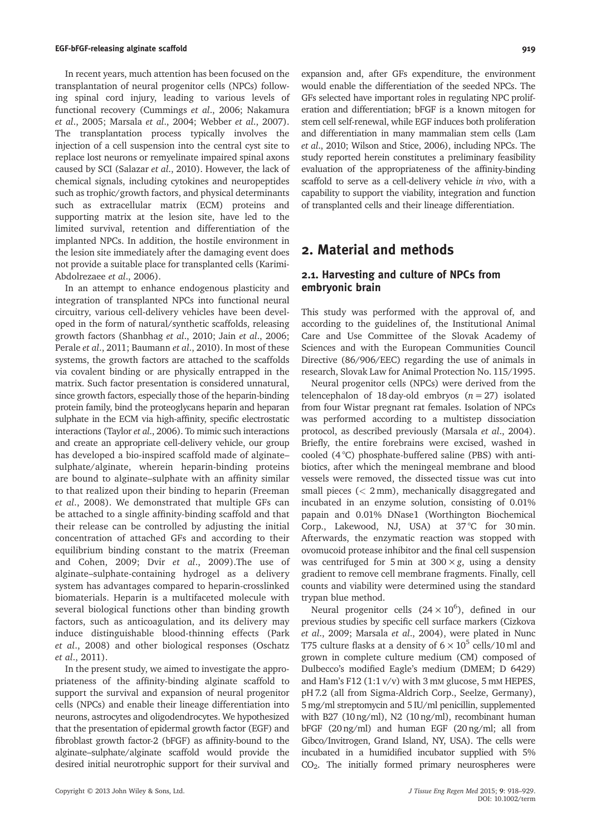In recent years, much attention has been focused on the transplantation of neural progenitor cells (NPCs) following spinal cord injury, leading to various levels of functional recovery (Cummings et al., 2006; Nakamura et al., 2005; Marsala et al., 2004; Webber et al., 2007). The transplantation process typically involves the injection of a cell suspension into the central cyst site to replace lost neurons or remyelinate impaired spinal axons caused by SCI (Salazar et al., 2010). However, the lack of chemical signals, including cytokines and neuropeptides such as trophic/growth factors, and physical determinants such as extracellular matrix (ECM) proteins and supporting matrix at the lesion site, have led to the limited survival, retention and differentiation of the implanted NPCs. In addition, the hostile environment in the lesion site immediately after the damaging event does not provide a suitable place for transplanted cells (Karimi-Abdolrezaee et al., 2006).

In an attempt to enhance endogenous plasticity and integration of transplanted NPCs into functional neural circuitry, various cell-delivery vehicles have been developed in the form of natural/synthetic scaffolds, releasing growth factors (Shanbhag et al., 2010; Jain et al., 2006; Perale et al., 2011; Baumann et al., 2010). In most of these systems, the growth factors are attached to the scaffolds via covalent binding or are physically entrapped in the matrix. Such factor presentation is considered unnatural, since growth factors, especially those of the heparin-binding protein family, bind the proteoglycans heparin and heparan sulphate in the ECM via high-affinity, specific electrostatic interactions (Taylor et al., 2006). To mimic such interactions and create an appropriate cell-delivery vehicle, our group has developed a bio-inspired scaffold made of alginate– sulphate/alginate, wherein heparin-binding proteins are bound to alginate–sulphate with an affinity similar to that realized upon their binding to heparin (Freeman et al., 2008). We demonstrated that multiple GFs can be attached to a single affinity-binding scaffold and that their release can be controlled by adjusting the initial concentration of attached GFs and according to their equilibrium binding constant to the matrix (Freeman and Cohen, 2009; Dvir et al., 2009).The use of alginate–sulphate-containing hydrogel as a delivery system has advantages compared to heparin-crosslinked biomaterials. Heparin is a multifaceted molecule with several biological functions other than binding growth factors, such as anticoagulation, and its delivery may induce distinguishable blood-thinning effects (Park et al., 2008) and other biological responses (Oschatz et al., 2011).

In the present study, we aimed to investigate the appropriateness of the affinity-binding alginate scaffold to support the survival and expansion of neural progenitor cells (NPCs) and enable their lineage differentiation into neurons, astrocytes and oligodendrocytes. We hypothesized that the presentation of epidermal growth factor (EGF) and fibroblast growth factor-2 (bFGF) as affinity-bound to the alginate–sulphate/alginate scaffold would provide the desired initial neurotrophic support for their survival and

expansion and, after GFs expenditure, the environment would enable the differentiation of the seeded NPCs. The GFs selected have important roles in regulating NPC proliferation and differentiation; bFGF is a known mitogen for stem cell self-renewal, while EGF induces both proliferation and differentiation in many mammalian stem cells (Lam et al., 2010; Wilson and Stice, 2006), including NPCs. The study reported herein constitutes a preliminary feasibility evaluation of the appropriateness of the affinity-binding scaffold to serve as a cell-delivery vehicle in vivo, with a capability to support the viability, integration and function of transplanted cells and their lineage differentiation.

## 2. Material and methods

## 2.1. Harvesting and culture of NPCs from embryonic brain

This study was performed with the approval of, and according to the guidelines of, the Institutional Animal Care and Use Committee of the Slovak Academy of Sciences and with the European Communities Council Directive (86/906/EEC) regarding the use of animals in research, Slovak Law for Animal Protection No. 115/1995.

Neural progenitor cells (NPCs) were derived from the telencephalon of 18 day-old embryos  $(n = 27)$  isolated from four Wistar pregnant rat females. Isolation of NPCs was performed according to a multistep dissociation protocol, as described previously (Marsala et al., 2004). Briefly, the entire forebrains were excised, washed in cooled (4 °C) phosphate-buffered saline (PBS) with antibiotics, after which the meningeal membrane and blood vessels were removed, the dissected tissue was cut into small pieces (< 2 mm), mechanically disaggregated and incubated in an enzyme solution, consisting of 0.01% papain and 0.01% DNase1 (Worthington Biochemical Corp., Lakewood, NJ, USA) at 37°C for 30 min. Afterwards, the enzymatic reaction was stopped with ovomucoid protease inhibitor and the final cell suspension was centrifuged for 5 min at  $300 \times g$ , using a density gradient to remove cell membrane fragments. Finally, cell counts and viability were determined using the standard trypan blue method.

Neural progenitor cells  $(24 \times 10^6)$ , defined in our previous studies by specific cell surface markers (Cizkova et al., 2009; Marsala et al., 2004), were plated in Nunc T75 culture flasks at a density of  $6 \times 10^5$  cells/10 ml and grown in complete culture medium (CM) composed of Dulbecco's modified Eagle's medium (DMEM; D 6429) and Ham's F12  $(1:1 \text{ v/v})$  with 3 mM glucose, 5 mM HEPES, pH 7.2 (all from Sigma-Aldrich Corp., Seelze, Germany), 5 mg/ml streptomycin and 5 IU/ml penicillin, supplemented with B27 (10 ng/ml), N2 (10 ng/ml), recombinant human bFGF (20 ng/ml) and human EGF (20 ng/ml; all from Gibco/Invitrogen, Grand Island, NY, USA). The cells were incubated in a humidified incubator supplied with 5% CO2. The initially formed primary neurospheres were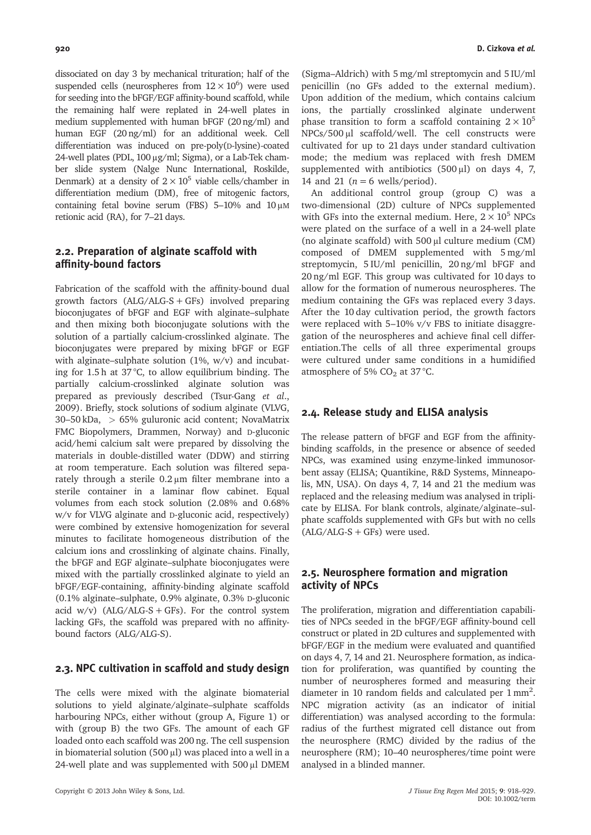dissociated on day 3 by mechanical trituration; half of the suspended cells (neurospheres from  $12 \times 10^6$ ) were used for seeding into the bFGF/EGF affinity-bound scaffold, while the remaining half were replated in 24-well plates in medium supplemented with human bFGF (20 ng/ml) and human EGF (20 ng/ml) for an additional week. Cell differentiation was induced on pre-poly(D-lysine)-coated 24-well plates (PDL, 100 μg/ml; Sigma), or a Lab-Tek chamber slide system (Nalge Nunc International, Roskilde, Denmark) at a density of  $2 \times 10^5$  viable cells/chamber in differentiation medium (DM), free of mitogenic factors, containing fetal bovine serum (FBS) 5–10% and 10 μM retionic acid (RA), for 7–21 days.

## 2.2. Preparation of alginate scaffold with affinity-bound factors

Fabrication of the scaffold with the affinity-bound dual growth factors  $(ALG/ALG-S+GFs)$  involved preparing bioconjugates of bFGF and EGF with alginate–sulphate and then mixing both bioconjugate solutions with the solution of a partially calcium-crosslinked alginate. The bioconjugates were prepared by mixing bFGF or EGF with alginate–sulphate solution (1%, w/v) and incubating for 1.5 h at 37 °C, to allow equilibrium binding. The partially calcium-crosslinked alginate solution was prepared as previously described (Tsur-Gang et al., 2009). Briefly, stock solutions of sodium alginate (VLVG, 30–50 kDa, > 65% guluronic acid content; NovaMatrix FMC Biopolymers, Drammen, Norway) and D-gluconic acid/hemi calcium salt were prepared by dissolving the materials in double-distilled water (DDW) and stirring at room temperature. Each solution was filtered separately through a sterile 0.2 μm filter membrane into a sterile container in a laminar flow cabinet. Equal volumes from each stock solution (2.08% and 0.68% w/v for VLVG alginate and D-gluconic acid, respectively) were combined by extensive homogenization for several minutes to facilitate homogeneous distribution of the calcium ions and crosslinking of alginate chains. Finally, the bFGF and EGF alginate–sulphate bioconjugates were mixed with the partially crosslinked alginate to yield an bFGF/EGF-containing, affinity-binding alginate scaffold (0.1% alginate–sulphate, 0.9% alginate, 0.3% D-gluconic acid w/v)  $(ALG/ALG-S + GFs)$ . For the control system lacking GFs, the scaffold was prepared with no affinitybound factors (ALG/ALG-S).

#### 2.3. NPC cultivation in scaffold and study design

The cells were mixed with the alginate biomaterial solutions to yield alginate/alginate–sulphate scaffolds harbouring NPCs, either without (group A, Figure 1) or with (group B) the two GFs. The amount of each GF loaded onto each scaffold was 200 ng. The cell suspension in biomaterial solution (500 μl) was placed into a well in a 24-well plate and was supplemented with 500 μl DMEM

(Sigma–Aldrich) with 5 mg/ml streptomycin and 5 IU/ml penicillin (no GFs added to the external medium). Upon addition of the medium, which contains calcium ions, the partially crosslinked alginate underwent phase transition to form a scaffold containing  $2 \times 10^5$ NPCs/500 μl scaffold/well. The cell constructs were cultivated for up to 21 days under standard cultivation mode; the medium was replaced with fresh DMEM supplemented with antibiotics (500 μl) on days 4, 7, 14 and 21 ( $n = 6$  wells/period).

An additional control group (group C) was a two-dimensional (2D) culture of NPCs supplemented with GFs into the external medium. Here,  $2 \times 10^5$  NPCs were plated on the surface of a well in a 24-well plate (no alginate scaffold) with 500 μl culture medium (CM) composed of DMEM supplemented with 5 mg/ml streptomycin, 5 IU/ml penicillin, 20 ng/ml bFGF and 20 ng/ml EGF. This group was cultivated for 10 days to allow for the formation of numerous neurospheres. The medium containing the GFs was replaced every 3 days. After the 10 day cultivation period, the growth factors were replaced with 5–10% v/v FBS to initiate disaggregation of the neurospheres and achieve final cell differentiation.The cells of all three experimental groups were cultured under same conditions in a humidified atmosphere of 5%  $CO<sub>2</sub>$  at 37 °C.

#### 2.4. Release study and ELISA analysis

The release pattern of bFGF and EGF from the affinitybinding scaffolds, in the presence or absence of seeded NPCs, was examined using enzyme-linked immunosorbent assay (ELISA; Quantikine, R&D Systems, Minneapolis, MN, USA). On days 4, 7, 14 and 21 the medium was replaced and the releasing medium was analysed in triplicate by ELISA. For blank controls, alginate/alginate–sulphate scaffolds supplemented with GFs but with no cells  $(ALG/ALG-S + GFs)$  were used.

## 2.5. Neurosphere formation and migration activity of NPCs

The proliferation, migration and differentiation capabilities of NPCs seeded in the bFGF/EGF affinity-bound cell construct or plated in 2D cultures and supplemented with bFGF/EGF in the medium were evaluated and quantified on days 4, 7, 14 and 21. Neurosphere formation, as indication for proliferation, was quantified by counting the number of neurospheres formed and measuring their diameter in 10 random fields and calculated per  $1 \text{ mm}^2$ . NPC migration activity (as an indicator of initial differentiation) was analysed according to the formula: radius of the furthest migrated cell distance out from the neurosphere (RMC) divided by the radius of the neurosphere (RM); 10–40 neurospheres/time point were analysed in a blinded manner.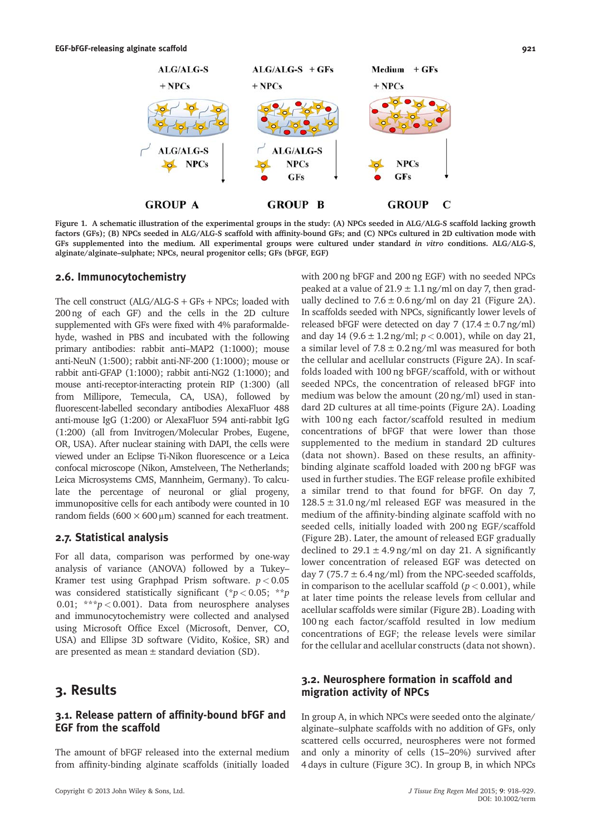

Figure 1. A schematic illustration of the experimental groups in the study: (A) NPCs seeded in ALG/ALG-S scaffold lacking growth factors (GFs); (B) NPCs seeded in ALG/ALG-S scaffold with affinity-bound GFs; and (C) NPCs cultured in 2D cultivation mode with GFs supplemented into the medium. All experimental groups were cultured under standard in vitro conditions. ALG/ALG-S, alginate/alginate–sulphate; NPCs, neural progenitor cells; GFs (bFGF, EGF)

#### 2.6. Immunocytochemistry

The cell construct  $(ALG/ALG-S + GFs + NPCs;$  loaded with 200 ng of each GF) and the cells in the 2D culture supplemented with GFs were fixed with 4% paraformaldehyde, washed in PBS and incubated with the following primary antibodies: rabbit anti–MAP2 (1:1000); mouse anti-NeuN (1:500); rabbit anti-NF-200 (1:1000); mouse or rabbit anti-GFAP (1:1000); rabbit anti-NG2 (1:1000); and mouse anti-receptor-interacting protein RIP (1:300) (all from Millipore, Temecula, CA, USA), followed by fluorescent-labelled secondary antibodies AlexaFluor 488 anti-mouse IgG (1:200) or AlexaFluor 594 anti-rabbit IgG (1:200) (all from Invitrogen/Molecular Probes, Eugene, OR, USA). After nuclear staining with DAPI, the cells were viewed under an Eclipse Ti-Nikon fluorescence or a Leica confocal microscope (Nikon, Amstelveen, The Netherlands; Leica Microsystems CMS, Mannheim, Germany). To calculate the percentage of neuronal or glial progeny, immunopositive cells for each antibody were counted in 10 random fields ( $600 \times 600 \,\mu$ m) scanned for each treatment.

#### 2.7. Statistical analysis

For all data, comparison was performed by one-way analysis of variance (ANOVA) followed by a Tukey– Kramer test using Graphpad Prism software.  $p < 0.05$ was considered statistically significant (\* $p < 0.05$ ; \*\*p 0.01; \*\*\* $p < 0.001$ ). Data from neurosphere analyses and immunocytochemistry were collected and analysed using Microsoft Office Excel (Microsoft, Denver, CO, USA) and Ellipse 3D software (Vidito, Košice, SR) and are presented as mean  $\pm$  standard deviation (SD).

## 3. Results

## 3.1. Release pattern of affinity-bound bFGF and EGF from the scaffold

The amount of bFGF released into the external medium from affinity-binding alginate scaffolds (initially loaded with 200 ng bFGF and 200 ng EGF) with no seeded NPCs peaked at a value of  $21.9 \pm 1.1$  ng/ml on day 7, then gradually declined to  $7.6 \pm 0.6$  ng/ml on day 21 (Figure 2A). In scaffolds seeded with NPCs, significantly lower levels of released bFGF were detected on day 7  $(17.4 \pm 0.7 \text{ ng/ml})$ and day 14 (9.6  $\pm$  1.2 ng/ml;  $p < 0.001$ ), while on day 21, a similar level of  $7.8 \pm 0.2$  ng/ml was measured for both the cellular and acellular constructs (Figure 2A). In scaffolds loaded with 100 ng bFGF/scaffold, with or without seeded NPCs, the concentration of released bFGF into medium was below the amount (20 ng/ml) used in standard 2D cultures at all time-points (Figure 2A). Loading with 100 ng each factor/scaffold resulted in medium concentrations of bFGF that were lower than those supplemented to the medium in standard 2D cultures (data not shown). Based on these results, an affinitybinding alginate scaffold loaded with 200 ng bFGF was used in further studies. The EGF release profile exhibited a similar trend to that found for bFGF. On day 7,  $128.5 \pm 31.0$  ng/ml released EGF was measured in the medium of the affinity-binding alginate scaffold with no seeded cells, initially loaded with 200 ng EGF/scaffold (Figure 2B). Later, the amount of released EGF gradually declined to  $29.1 \pm 4.9$  ng/ml on day 21. A significantly lower concentration of released EGF was detected on day 7 (75.7  $\pm$  6.4 ng/ml) from the NPC-seeded scaffolds, in comparison to the acellular scaffold ( $p < 0.001$ ), while at later time points the release levels from cellular and acellular scaffolds were similar (Figure 2B). Loading with 100 ng each factor/scaffold resulted in low medium concentrations of EGF; the release levels were similar for the cellular and acellular constructs (data not shown).

## 3.2. Neurosphere formation in scaffold and migration activity of NPCs

In group A, in which NPCs were seeded onto the alginate/ alginate–sulphate scaffolds with no addition of GFs, only scattered cells occurred, neurospheres were not formed and only a minority of cells (15–20%) survived after 4 days in culture (Figure 3C). In group B, in which NPCs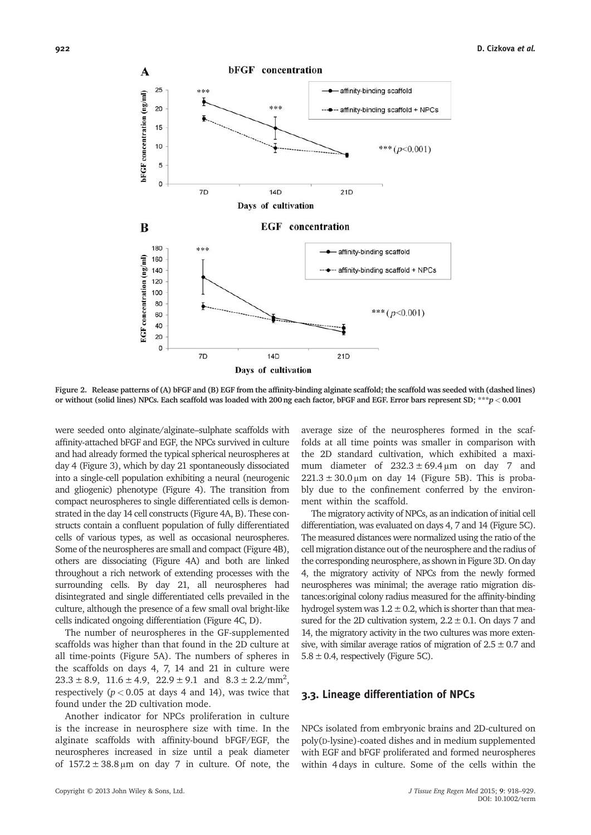

Figure 2. Release patterns of (A) bFGF and (B) EGF from the affinity-binding alginate scaffold; the scaffold was seeded with (dashed lines) or without (solid lines) NPCs. Each scaffold was loaded with 200 ng each factor, bFGF and EGF. Error bars represent SD; \*\*\*p< 0.001

were seeded onto alginate/alginate–sulphate scaffolds with affinity-attached bFGF and EGF, the NPCs survived in culture and had already formed the typical spherical neurospheres at day 4 (Figure 3), which by day 21 spontaneously dissociated into a single-cell population exhibiting a neural (neurogenic and gliogenic) phenotype (Figure 4). The transition from compact neurospheres to single differentiated cells is demonstrated in the day 14 cell constructs (Figure 4A, B). These constructs contain a confluent population of fully differentiated cells of various types, as well as occasional neurospheres. Some of the neurospheres are small and compact (Figure 4B), others are dissociating (Figure 4A) and both are linked throughout a rich network of extending processes with the surrounding cells. By day 21, all neurospheres had disintegrated and single differentiated cells prevailed in the culture, although the presence of a few small oval bright-like cells indicated ongoing differentiation (Figure 4C, D).

The number of neurospheres in the GF-supplemented scaffolds was higher than that found in the 2D culture at all time-points (Figure 5A). The numbers of spheres in the scaffolds on days 4, 7, 14 and 21 in culture were  $23.3 \pm 8.9$ ,  $11.6 \pm 4.9$ ,  $22.9 \pm 9.1$  and  $8.3 \pm 2.2/\text{mm}^2$ , respectively ( $p < 0.05$  at days 4 and 14), was twice that found under the 2D cultivation mode.

Another indicator for NPCs proliferation in culture is the increase in neurosphere size with time. In the alginate scaffolds with affinity-bound bFGF/EGF, the neurospheres increased in size until a peak diameter of  $157.2 \pm 38.8 \,\mu m$  on day 7 in culture. Of note, the average size of the neurospheres formed in the scaffolds at all time points was smaller in comparison with the 2D standard cultivation, which exhibited a maximum diameter of  $232.3 \pm 69.4 \,\text{\ensuremath{\mu}m}$  on day 7 and  $221.3 \pm 30.0 \,\mu$ m on day 14 (Figure 5B). This is probably due to the confinement conferred by the environment within the scaffold.

The migratory activity of NPCs, as an indication of initial cell differentiation, was evaluated on days 4, 7 and 14 (Figure 5C). The measured distances were normalized using the ratio of the cell migration distance out of the neurosphere and the radius of the corresponding neurosphere, as shown in Figure 3D. On day 4, the migratory activity of NPCs from the newly formed neurospheres was minimal; the average ratio migration distances:original colony radius measured for the affinity-binding hydrogel system was  $1.2 \pm 0.2$ , which is shorter than that measured for the 2D cultivation system,  $2.2 \pm 0.1$ . On days 7 and 14, the migratory activity in the two cultures was more extensive, with similar average ratios of migration of  $2.5 \pm 0.7$  and  $5.8 \pm 0.4$ , respectively (Figure 5C).

#### 3.3. Lineage differentiation of NPCs

NPCs isolated from embryonic brains and 2D-cultured on poly(D-lysine)-coated dishes and in medium supplemented with EGF and bFGF proliferated and formed neurospheres within 4 days in culture. Some of the cells within the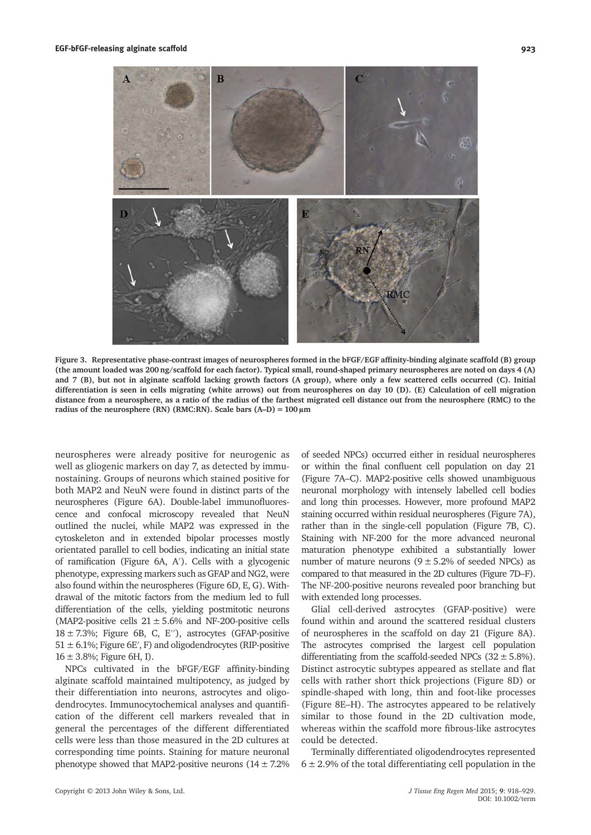

Figure 3. Representative phase-contrast images of neurospheres formed in the bFGF/EGF affinity-binding alginate scaffold (B) group (the amount loaded was 200 ng/scaffold for each factor). Typical small, round-shaped primary neurospheres are noted on days 4 (A) and 7 (B), but not in alginate scaffold lacking growth factors (A group), where only a few scattered cells occurred (C). Initial differentiation is seen in cells migrating (white arrows) out from neurospheres on day 10 (D). (E) Calculation of cell migration distance from a neurosphere, as a ratio of the radius of the farthest migrated cell distance out from the neurosphere (RMC) to the radius of the neurosphere (RN) (RMC:RN). Scale bars  $(A-D) = 100 \mu m$ 

neurospheres were already positive for neurogenic as well as gliogenic markers on day 7, as detected by immunostaining. Groups of neurons which stained positive for both MAP2 and NeuN were found in distinct parts of the neurospheres (Figure 6A). Double-label immunofluorescence and confocal microscopy revealed that NeuN outlined the nuclei, while MAP2 was expressed in the cytoskeleton and in extended bipolar processes mostly orientated parallel to cell bodies, indicating an initial state of ramification (Figure 6A, A′). Cells with a glycogenic phenotype, expressing markers such as GFAP and NG2, were also found within the neurospheres (Figure 6D, E, G). Withdrawal of the mitotic factors from the medium led to full differentiation of the cells, yielding postmitotic neurons (MAP2-positive cells  $21 \pm 5.6\%$  and NF-200-positive cells  $18 \pm 7.3$ %; Figure 6B, C, E''), astrocytes (GFAP-positive  $51 \pm 6.1\%$ ; Figure 6E', F) and oligodendrocytes (RIP-positive  $16 \pm 3.8\%$ ; Figure 6H, I).

NPCs cultivated in the bFGF/EGF affinity-binding alginate scaffold maintained multipotency, as judged by their differentiation into neurons, astrocytes and oligodendrocytes. Immunocytochemical analyses and quantification of the different cell markers revealed that in general the percentages of the different differentiated cells were less than those measured in the 2D cultures at corresponding time points. Staining for mature neuronal phenotype showed that MAP2-positive neurons  $(14 \pm 7.2\%)$  of seeded NPCs) occurred either in residual neurospheres or within the final confluent cell population on day 21 (Figure 7A–C). MAP2-positive cells showed unambiguous neuronal morphology with intensely labelled cell bodies and long thin processes. However, more profound MAP2 staining occurred within residual neurospheres (Figure 7A), rather than in the single-cell population (Figure 7B, C). Staining with NF-200 for the more advanced neuronal maturation phenotype exhibited a substantially lower number of mature neurons  $(9 \pm 5.2\%$  of seeded NPCs) as compared to that measured in the 2D cultures (Figure 7D–F). The NF-200-positive neurons revealed poor branching but with extended long processes.

Glial cell-derived astrocytes (GFAP-positive) were found within and around the scattered residual clusters of neurospheres in the scaffold on day 21 (Figure 8A). The astrocytes comprised the largest cell population differentiating from the scaffold-seeded NPCs  $(32 \pm 5.8\%)$ . Distinct astrocytic subtypes appeared as stellate and flat cells with rather short thick projections (Figure 8D) or spindle-shaped with long, thin and foot-like processes (Figure 8E–H). The astrocytes appeared to be relatively similar to those found in the 2D cultivation mode, whereas within the scaffold more fibrous-like astrocytes could be detected.

Terminally differentiated oligodendrocytes represented  $6 \pm 2.9$ % of the total differentiating cell population in the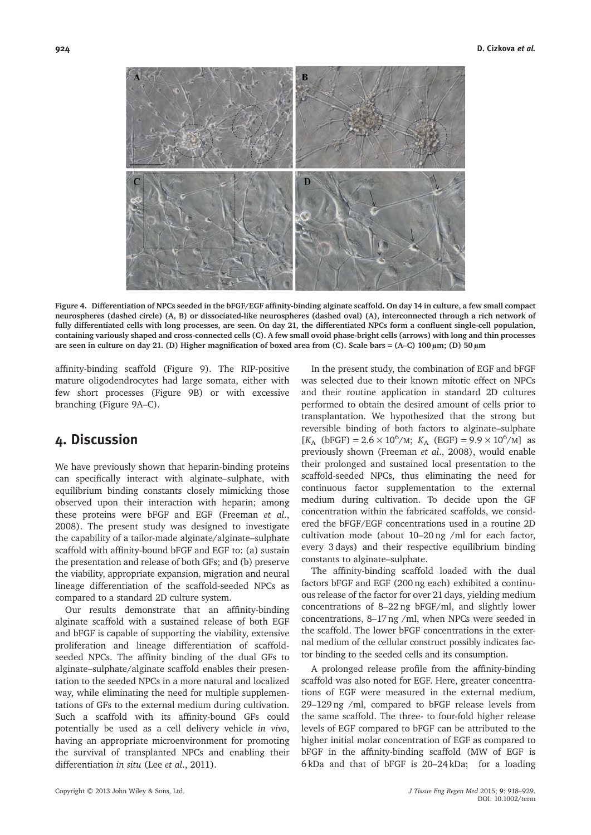

Figure 4. Differentiation of NPCs seeded in the bFGF/EGF affinity-binding alginate scaffold. On day 14 in culture, a few small compact neurospheres (dashed circle) (A, B) or dissociated-like neurospheres (dashed oval) (A), interconnected through a rich network of fully differentiated cells with long processes, are seen. On day 21, the differentiated NPCs form a confluent single-cell population, containing variously shaped and cross-connected cells (C). A few small ovoid phase-bright cells (arrows) with long and thin processes are seen in culture on day 21. (D) Higher magnification of boxed area from (C). Scale bars = (A–C) 100 μm; (D) 50 μm

affinity-binding scaffold (Figure 9). The RIP-positive mature oligodendrocytes had large somata, either with few short processes (Figure 9B) or with excessive branching (Figure 9A–C).

## 4. Discussion

We have previously shown that heparin-binding proteins can specifically interact with alginate–sulphate, with equilibrium binding constants closely mimicking those observed upon their interaction with heparin; among these proteins were bFGF and EGF (Freeman et al., 2008). The present study was designed to investigate the capability of a tailor-made alginate/alginate–sulphate scaffold with affinity-bound bFGF and EGF to: (a) sustain the presentation and release of both GFs; and (b) preserve the viability, appropriate expansion, migration and neural lineage differentiation of the scaffold-seeded NPCs as compared to a standard 2D culture system.

Our results demonstrate that an affinity-binding alginate scaffold with a sustained release of both EGF and bFGF is capable of supporting the viability, extensive proliferation and lineage differentiation of scaffoldseeded NPCs. The affinity binding of the dual GFs to alginate–sulphate/alginate scaffold enables their presentation to the seeded NPCs in a more natural and localized way, while eliminating the need for multiple supplementations of GFs to the external medium during cultivation. Such a scaffold with its affinity-bound GFs could potentially be used as a cell delivery vehicle in vivo, having an appropriate microenvironment for promoting the survival of transplanted NPCs and enabling their differentiation in situ (Lee et al., 2011).

In the present study, the combination of EGF and bFGF was selected due to their known mitotic effect on NPCs and their routine application in standard 2D cultures performed to obtain the desired amount of cells prior to transplantation. We hypothesized that the strong but reversible binding of both factors to alginate–sulphate  $[K_A \text{ (bFGF)} = 2.6 \times 10^6/\text{m}; K_A \text{ (EGF)} = 9.9 \times 10^6/\text{m}]$  as previously shown (Freeman et al., 2008), would enable their prolonged and sustained local presentation to the scaffold-seeded NPCs, thus eliminating the need for continuous factor supplementation to the external medium during cultivation. To decide upon the GF concentration within the fabricated scaffolds, we considered the bFGF/EGF concentrations used in a routine 2D cultivation mode (about 10–20 ng /ml for each factor, every 3 days) and their respective equilibrium binding constants to alginate–sulphate.

The affinity-binding scaffold loaded with the dual factors bFGF and EGF (200 ng each) exhibited a continuous release of the factor for over 21 days, yielding medium concentrations of 8–22 ng bFGF/ml, and slightly lower concentrations, 8–17 ng /ml, when NPCs were seeded in the scaffold. The lower bFGF concentrations in the external medium of the cellular construct possibly indicates factor binding to the seeded cells and its consumption.

A prolonged release profile from the affinity-binding scaffold was also noted for EGF. Here, greater concentrations of EGF were measured in the external medium, 29–129 ng /ml, compared to bFGF release levels from the same scaffold. The three- to four-fold higher release levels of EGF compared to bFGF can be attributed to the higher initial molar concentration of EGF as compared to bFGF in the affinity-binding scaffold (MW of EGF is 6 kDa and that of bFGF is 20–24 kDa; for a loading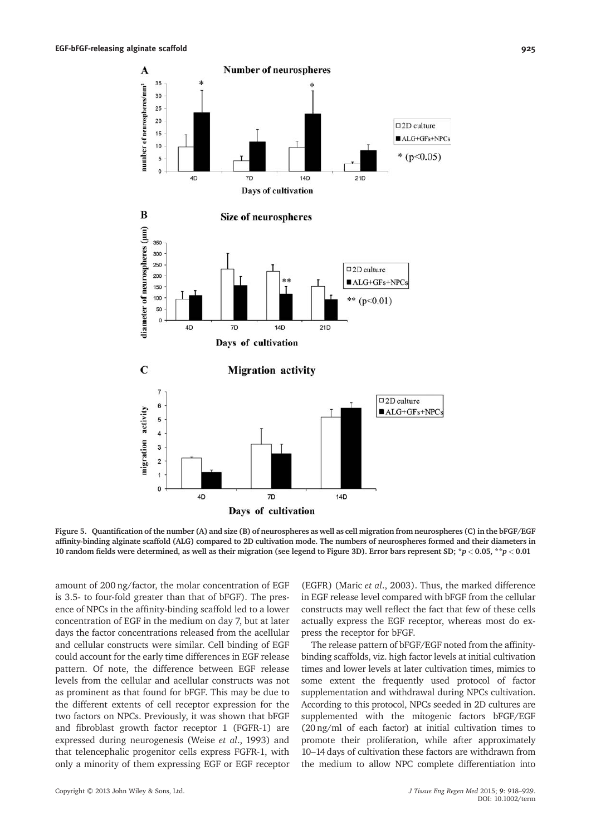

Figure 5. Quantification of the number (A) and size (B) of neurospheres as well as cell migration from neurospheres (C) in the bFGF/EGF affinity-binding alginate scaffold (ALG) compared to 2D cultivation mode. The numbers of neurospheres formed and their diameters in 10 random fields were determined, as well as their migration (see legend to Figure 3D). Error bars represent SD; \*p < 0.05, \*\*p < 0.01

amount of 200 ng/factor, the molar concentration of EGF is 3.5- to four-fold greater than that of bFGF). The presence of NPCs in the affinity-binding scaffold led to a lower concentration of EGF in the medium on day 7, but at later days the factor concentrations released from the acellular and cellular constructs were similar. Cell binding of EGF could account for the early time differences in EGF release pattern. Of note, the difference between EGF release levels from the cellular and acellular constructs was not as prominent as that found for bFGF. This may be due to the different extents of cell receptor expression for the two factors on NPCs. Previously, it was shown that bFGF and fibroblast growth factor receptor 1 (FGFR-1) are expressed during neurogenesis (Weise et al., 1993) and that telencephalic progenitor cells express FGFR-1, with only a minority of them expressing EGF or EGF receptor

(EGFR) (Maric et al., 2003). Thus, the marked difference in EGF release level compared with bFGF from the cellular constructs may well reflect the fact that few of these cells actually express the EGF receptor, whereas most do express the receptor for bFGF.

The release pattern of bFGF/EGF noted from the affinitybinding scaffolds, viz. high factor levels at initial cultivation times and lower levels at later cultivation times, mimics to some extent the frequently used protocol of factor supplementation and withdrawal during NPCs cultivation. According to this protocol, NPCs seeded in 2D cultures are supplemented with the mitogenic factors bFGF/EGF (20 ng/ml of each factor) at initial cultivation times to promote their proliferation, while after approximately 10–14 days of cultivation these factors are withdrawn from the medium to allow NPC complete differentiation into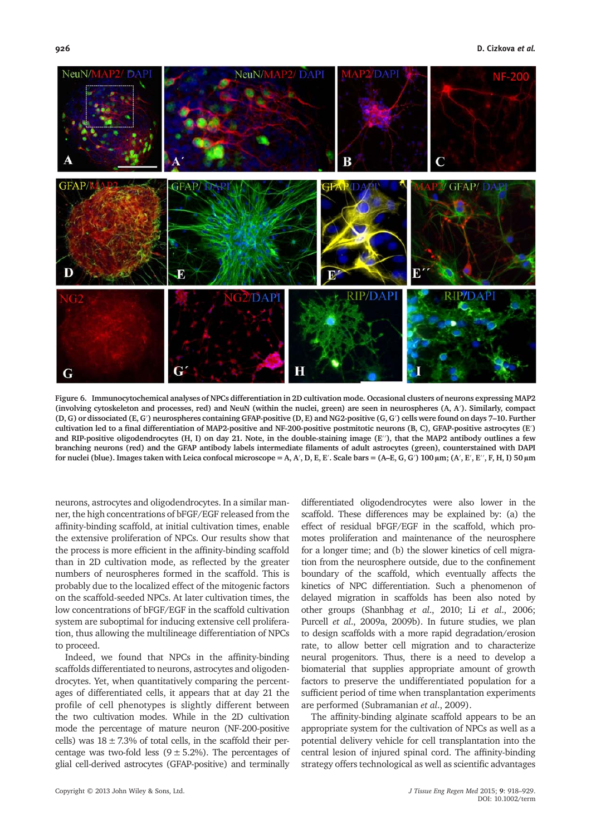

Figure 6. Immunocytochemical analyses of NPCs differentiation in 2D cultivation mode. Occasional clusters of neurons expressing MAP2 (involving cytoskeleton and processes, red) and NeuN (within the nuclei, green) are seen in neurospheres (A, A′). Similarly, compact (D, G) or dissociated (E, G′) neurospheres containing GFAP-positive (D, E) and NG2-positive (G, G′) cells were found on days 7–10. Further cultivation led to a final differentiation of MAP2-positive and NF-200-positive postmitotic neurons (B, C), GFAP-positive astrocytes (E′) and RIP-positive oligodendrocytes (H, I) on day 21. Note, in the double-staining image (E′′), that the MAP2 antibody outlines a few branching neurons (red) and the GFAP antibody labels intermediate filaments of adult astrocytes (green), counterstained with DAPI for nuclei (blue). Images taken with Leica confocal microscope = A, A', D, E, E'. Scale bars = (A–E, G, G') 100  $\mu$ m; (A', E', E'', F, H, I) 50  $\mu$ m

neurons, astrocytes and oligodendrocytes. In a similar manner, the high concentrations of bFGF/EGF released from the affinity-binding scaffold, at initial cultivation times, enable the extensive proliferation of NPCs. Our results show that the process is more efficient in the affinity-binding scaffold than in 2D cultivation mode, as reflected by the greater numbers of neurospheres formed in the scaffold. This is probably due to the localized effect of the mitogenic factors on the scaffold-seeded NPCs. At later cultivation times, the low concentrations of bFGF/EGF in the scaffold cultivation system are suboptimal for inducing extensive cell proliferation, thus allowing the multilineage differentiation of NPCs to proceed.

Indeed, we found that NPCs in the affinity-binding scaffolds differentiated to neurons, astrocytes and oligodendrocytes. Yet, when quantitatively comparing the percentages of differentiated cells, it appears that at day 21 the profile of cell phenotypes is slightly different between the two cultivation modes. While in the 2D cultivation mode the percentage of mature neuron (NF-200-positive cells) was  $18 \pm 7.3\%$  of total cells, in the scaffold their percentage was two-fold less  $(9 \pm 5.2\%)$ . The percentages of glial cell-derived astrocytes (GFAP-positive) and terminally

differentiated oligodendrocytes were also lower in the scaffold. These differences may be explained by: (a) the effect of residual bFGF/EGF in the scaffold, which promotes proliferation and maintenance of the neurosphere for a longer time; and (b) the slower kinetics of cell migration from the neurosphere outside, due to the confinement boundary of the scaffold, which eventually affects the kinetics of NPC differentiation. Such a phenomenon of delayed migration in scaffolds has been also noted by other groups (Shanbhag et al., 2010; Li et al., 2006; Purcell et al., 2009a, 2009b). In future studies, we plan to design scaffolds with a more rapid degradation/erosion rate, to allow better cell migration and to characterize neural progenitors. Thus, there is a need to develop a biomaterial that supplies appropriate amount of growth factors to preserve the undifferentiated population for a sufficient period of time when transplantation experiments are performed (Subramanian et al., 2009).

The affinity-binding alginate scaffold appears to be an appropriate system for the cultivation of NPCs as well as a potential delivery vehicle for cell transplantation into the central lesion of injured spinal cord. The affinity-binding strategy offers technological as well as scientific advantages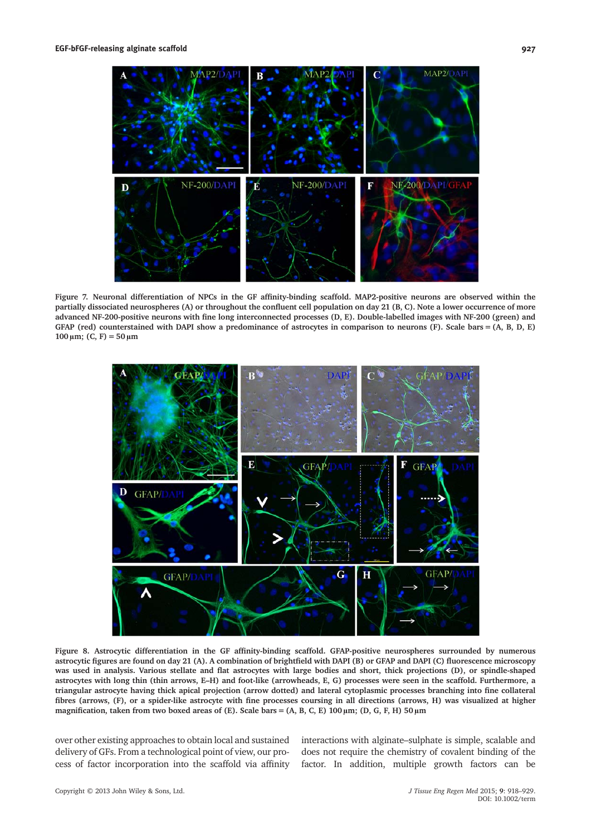

Figure 7. Neuronal differentiation of NPCs in the GF affinity-binding scaffold. MAP2-positive neurons are observed within the partially dissociated neurospheres (A) or throughout the confluent cell population on day 21 (B, C). Note a lower occurrence of more advanced NF-200-positive neurons with fine long interconnected processes (D, E). Double-labelled images with NF-200 (green) and GFAP (red) counterstained with DAPI show a predominance of astrocytes in comparison to neurons (F). Scale bars = (A, B, D, E)  $100 \,\mu m$ ; (C, F) = 50  $\mu m$ 



Figure 8. Astrocytic differentiation in the GF affinity-binding scaffold. GFAP-positive neurospheres surrounded by numerous astrocytic figures are found on day 21 (A). A combination of brightfield with DAPI (B) or GFAP and DAPI (C) fluorescence microscopy was used in analysis. Various stellate and flat astrocytes with large bodies and short, thick projections (D), or spindle-shaped astrocytes with long thin (thin arrows, E–H) and foot-like (arrowheads, E, G) processes were seen in the scaffold. Furthermore, a triangular astrocyte having thick apical projection (arrow dotted) and lateral cytoplasmic processes branching into fine collateral fibres (arrows, (F), or a spider-like astrocyte with fine processes coursing in all directions (arrows, H) was visualized at higher magnification, taken from two boxed areas of (E). Scale bars = (A, B, C, E) 100  $\mu$ m; (D, G, F, H) 50  $\mu$ m

over other existing approaches to obtain local and sustained delivery of GFs. From a technological point of view, our process of factor incorporation into the scaffold via affinity interactions with alginate–sulphate is simple, scalable and does not require the chemistry of covalent binding of the factor. In addition, multiple growth factors can be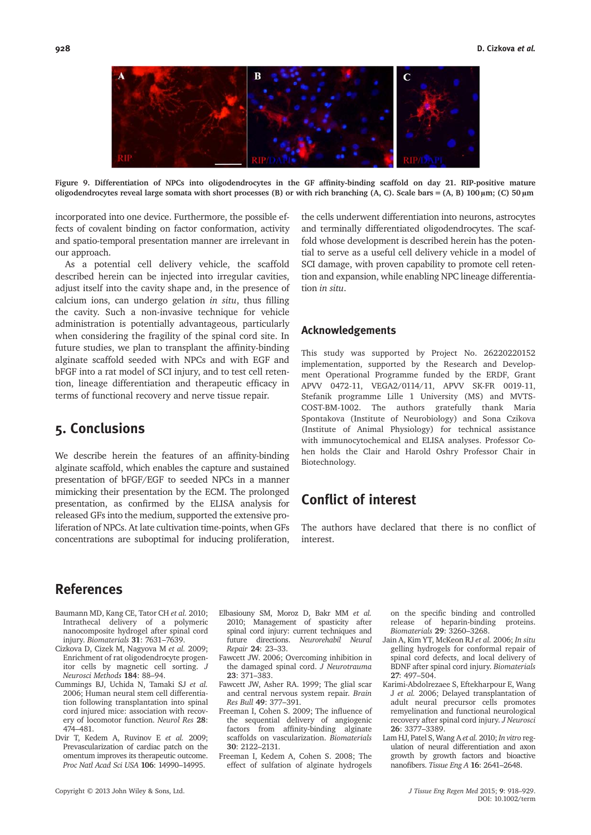

Figure 9. Differentiation of NPCs into oligodendrocytes in the GF affinity-binding scaffold on day 21. RIP-positive mature oligodendrocytes reveal large somata with short processes (B) or with rich branching (A, C). Scale bars = (A, B) 100 μm; (C) 50 μm

incorporated into one device. Furthermore, the possible effects of covalent binding on factor conformation, activity and spatio-temporal presentation manner are irrelevant in our approach.

As a potential cell delivery vehicle, the scaffold described herein can be injected into irregular cavities, adjust itself into the cavity shape and, in the presence of calcium ions, can undergo gelation in situ, thus filling the cavity. Such a non-invasive technique for vehicle administration is potentially advantageous, particularly when considering the fragility of the spinal cord site. In future studies, we plan to transplant the affinity-binding alginate scaffold seeded with NPCs and with EGF and bFGF into a rat model of SCI injury, and to test cell retention, lineage differentiation and therapeutic efficacy in terms of functional recovery and nerve tissue repair.

## 5. Conclusions

We describe herein the features of an affinity-binding alginate scaffold, which enables the capture and sustained presentation of bFGF/EGF to seeded NPCs in a manner mimicking their presentation by the ECM. The prolonged presentation, as confirmed by the ELISA analysis for released GFs into the medium, supported the extensive proliferation of NPCs. At late cultivation time-points, when GFs concentrations are suboptimal for inducing proliferation,

the cells underwent differentiation into neurons, astrocytes and terminally differentiated oligodendrocytes. The scaffold whose development is described herein has the potential to serve as a useful cell delivery vehicle in a model of SCI damage, with proven capability to promote cell retention and expansion, while enabling NPC lineage differentiation in situ.

#### Acknowledgements

This study was supported by Project No. 26220220152 implementation, supported by the Research and Development Operational Programme funded by the ERDF, Grant APVV 0472-11, VEGA2/0114/11, APVV SK-FR 0019-11, Stefanik programme Lille 1 University (MS) and MVTS-COST-BM-1002. The authors gratefully thank Maria Spontakova (Institute of Neurobiology) and Sona Czikova (Institute of Animal Physiology) for technical assistance with immunocytochemical and ELISA analyses. Professor Cohen holds the Clair and Harold Oshry Professor Chair in Biotechnology.

## Conflict of interest

The authors have declared that there is no conflict of interest.

## References

- Baumann MD, Kang CE, Tator CH et al. 2010; Intrathecal delivery of a polymeric nanocomposite hydrogel after spinal cord injury. Biomaterials 31: 7631–7639.
- Cizkova D, Cizek M, Nagyova M et al. 2009; Enrichment of rat oligodendrocyte progenitor cells by magnetic cell sorting. J Neurosci Methods 184: 88–94.
- Cummings BJ, Uchida N, Tamaki SJ et al. 2006; Human neural stem cell differentiation following transplantation into spinal cord injured mice: association with recovery of locomotor function. Neurol Res 28: 474–481.
- Dvir T, Kedem A, Ruvinov E et al. 2009; Prevascularization of cardiac patch on the omentum improves its therapeutic outcome. Proc Natl Acad Sci USA 106: 14990–14995.
- Elbasiouny SM, Moroz D, Bakr MM et al. 2010; Management of spasticity after spinal cord injury: current techniques and future directions. Neurorehabil Neural Repair 24: 23–33.
- Fawcett JW. 2006; Overcoming inhibition in the damaged spinal cord.  $J$  Neurotrauma 23: 371–383.
- Fawcett JW, Asher RA. 1999; The glial scar and central nervous system repair. Brain Res Bull 49: 377–391.
- Freeman I, Cohen S. 2009; The influence of the sequential delivery of angiogenic factors from affinity-binding alginate scaffolds on vascularization. Biomaterials 30: 2122–2131.
- Freeman I, Kedem A, Cohen S. 2008; The effect of sulfation of alginate hydrogels

on the specific binding and controlled release of heparin-binding proteins. Biomaterials 29: 3260–3268.

- Jain A, Kim YT, McKeon RJ et al. 2006; In situ gelling hydrogels for conformal repair of spinal cord defects, and local delivery of BDNF after spinal cord injury. Biomaterials 27: 497–504.
- Karimi-Abdolrezaee S, Eftekharpour E, Wang J et al. 2006; Delayed transplantation of adult neural precursor cells promotes remyelination and functional neurological recovery after spinal cord injury. J Neurosci 26: 3377–3389.
- Lam HJ, Patel S, Wang A et al. 2010; In vitro regulation of neural differentiation and axon growth by growth factors and bioactive nanofibers. Tissue Eng A 16: 2641–2648.